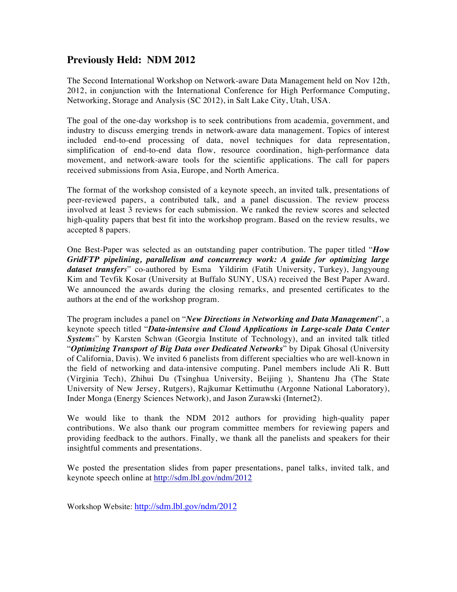# **Previously Held: NDM 2012**

The Second International Workshop on Network-aware Data Management held on Nov 12th, 2012, in conjunction with the International Conference for High Performance Computing, Networking, Storage and Analysis (SC 2012), in Salt Lake City, Utah, USA.

The goal of the one-day workshop is to seek contributions from academia, government, and industry to discuss emerging trends in network-aware data management. Topics of interest included end-to-end processing of data, novel techniques for data representation, simplification of end-to-end data flow, resource coordination, high-performance data movement, and network-aware tools for the scientific applications. The call for papers received submissions from Asia, Europe, and North America.

The format of the workshop consisted of a keynote speech, an invited talk, presentations of peer-reviewed papers, a contributed talk, and a panel discussion. The review process involved at least 3 reviews for each submission. We ranked the review scores and selected high-quality papers that best fit into the workshop program. Based on the review results, we accepted 8 papers.

One Best-Paper was selected as an outstanding paper contribution. The paper titled "*How GridFTP pipelining, parallelism and concurrency work: A guide for optimizing large dataset transfers*" co-authored by Esma Yildirim (Fatih University, Turkey), Jangyoung Kim and Tevfik Kosar (University at Buffalo SUNY, USA) received the Best Paper Award. We announced the awards during the closing remarks, and presented certificates to the authors at the end of the workshop program.

The program includes a panel on "*New Directions in Networking and Data Management*", a keynote speech titled "*Data-intensive and Cloud Applications in Large-scale Data Center Systems*" by Karsten Schwan (Georgia Institute of Technology), and an invited talk titled "*Optimizing Transport of Big Data over Dedicated Networks*" by Dipak Ghosal (University of California, Davis). We invited 6 panelists from different specialties who are well-known in the field of networking and data-intensive computing. Panel members include Ali R. Butt (Virginia Tech), Zhihui Du (Tsinghua University, Beijing ), Shantenu Jha (The State University of New Jersey, Rutgers), Rajkumar Kettimuthu (Argonne National Laboratory), Inder Monga (Energy Sciences Network), and Jason Zurawski (Internet2).

We would like to thank the NDM 2012 authors for providing high-quality paper contributions. We also thank our program committee members for reviewing papers and providing feedback to the authors. Finally, we thank all the panelists and speakers for their insightful comments and presentations.

We posted the presentation slides from paper presentations, panel talks, invited talk, and keynote speech online at http://sdm.lbl.gov/ndm/2012

Workshop Website: http://sdm.lbl.gov/ndm/2012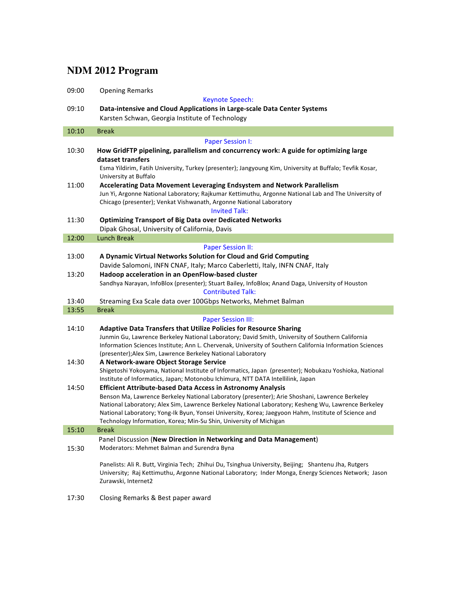# **NDM 2012 Program**

I

| 09:00                     | <b>Opening Remarks</b>                                                                                                                                                     |
|---------------------------|----------------------------------------------------------------------------------------------------------------------------------------------------------------------------|
|                           | <b>Keynote Speech:</b>                                                                                                                                                     |
| 09:10                     | Data-intensive and Cloud Applications in Large-scale Data Center Systems<br>Karsten Schwan, Georgia Institute of Technology                                                |
|                           |                                                                                                                                                                            |
| 10:10                     | <b>Break</b>                                                                                                                                                               |
|                           | <b>Paper Session I:</b>                                                                                                                                                    |
| 10:30                     | How GridFTP pipelining, parallelism and concurrency work: A guide for optimizing large                                                                                     |
|                           | dataset transfers<br>Esma Yildirim, Fatih University, Turkey (presenter); Jangyoung Kim, University at Buffalo; Tevfik Kosar,                                              |
|                           | University at Buffalo                                                                                                                                                      |
| 11:00                     | Accelerating Data Movement Leveraging Endsystem and Network Parallelism                                                                                                    |
|                           | Jun Yi, Argonne National Laboratory; Rajkumar Kettimuthu, Argonne National Lab and The University of                                                                       |
|                           | Chicago (presenter); Venkat Vishwanath, Argonne National Laboratory                                                                                                        |
|                           | <b>Invited Talk:</b>                                                                                                                                                       |
| 11:30                     | <b>Optimizing Transport of Big Data over Dedicated Networks</b>                                                                                                            |
|                           | Dipak Ghosal, University of California, Davis                                                                                                                              |
| 12:00                     | <b>Lunch Break</b>                                                                                                                                                         |
|                           | <b>Paper Session II:</b>                                                                                                                                                   |
| 13:00                     | A Dynamic Virtual Networks Solution for Cloud and Grid Computing<br>Davide Salomoni, INFN CNAF, Italy; Marco Caberletti, Italy, INFN CNAF, Italy                           |
| 13:20                     | Hadoop acceleration in an OpenFlow-based cluster                                                                                                                           |
|                           | Sandhya Narayan, InfoBlox (presenter); Stuart Bailey, InfoBlox; Anand Daga, University of Houston                                                                          |
|                           | <b>Contributed Talk:</b>                                                                                                                                                   |
| 13:40                     | Streaming Exa Scale data over 100Gbps Networks, Mehmet Balman                                                                                                              |
| 13:55                     | <b>Break</b>                                                                                                                                                               |
| <b>Paper Session III:</b> |                                                                                                                                                                            |
| 14:10                     | <b>Adaptive Data Transfers that Utilize Policies for Resource Sharing</b>                                                                                                  |
|                           | Junmin Gu, Lawrence Berkeley National Laboratory; David Smith, University of Southern California                                                                           |
|                           | Information Sciences Institute; Ann L. Chervenak, University of Southern California Information Sciences                                                                   |
| 14:30                     | (presenter); Alex Sim, Lawrence Berkeley National Laboratory<br>A Network-aware Object Storage Service                                                                     |
|                           | Shigetoshi Yokoyama, National Institute of Informatics, Japan (presenter); Nobukazu Yoshioka, National                                                                     |
|                           | Institute of Informatics, Japan; Motonobu Ichimura, NTT DATA Intellilink, Japan                                                                                            |
| 14:50                     | <b>Efficient Attribute-based Data Access in Astronomy Analysis</b>                                                                                                         |
|                           | Benson Ma, Lawrence Berkeley National Laboratory (presenter); Arie Shoshani, Lawrence Berkeley                                                                             |
|                           | National Laboratory; Alex Sim, Lawrence Berkeley National Laboratory; Kesheng Wu, Lawrence Berkeley                                                                        |
|                           | National Laboratory; Yong-Ik Byun, Yonsei University, Korea; Jaegyoon Hahm, Institute of Science and<br>Technology Information, Korea; Min-Su Shin, University of Michigan |
| 15:10                     | <b>Break</b>                                                                                                                                                               |
|                           | Panel Discussion (New Direction in Networking and Data Management)                                                                                                         |
| 15:30                     | Moderators: Mehmet Balman and Surendra Byna                                                                                                                                |
|                           |                                                                                                                                                                            |
|                           |                                                                                                                                                                            |
|                           | Panelists: Ali R. Butt, Virginia Tech; Zhihui Du, Tsinghua University, Beijing; Shantenu Jha, Rutgers                                                                      |
|                           | University; Raj Kettimuthu, Argonne National Laboratory; Inder Monga, Energy Sciences Network; Jason                                                                       |
|                           | Zurawski, Internet2                                                                                                                                                        |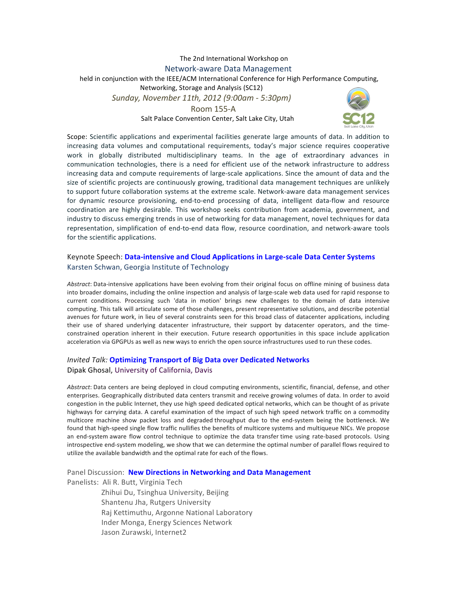## The 2nd International Workshop on Network-aware Data Management held in conjunction with the IEEE/ACM International Conference for High Performance Computing, Networking, Storage and Analysis (SC12) *Sunday,(November(11th,(2012((9:00am(8 5:30pm)* Room 155-A Salt Palace Convention Center, Salt Lake City, Utah



Scope: Scientific applications and experimental facilities generate large amounts of data. In addition to increasing data volumes and computational requirements, today's major science requires cooperative work in globally distributed multidisciplinary teams. In the age of extraordinary advances in communication technologies, there is a need for efficient use of the network infrastructure to address increasing data and compute requirements of large-scale applications. Since the amount of data and the size of scientific projects are continuously growing, traditional data management techniques are unlikely to support future collaboration systems at the extreme scale. Network-aware data management services for dynamic resource provisioning, end-to-end processing of data, intelligent data-flow and resource coordination are highly desirable. This workshop seeks contribution from academia, government, and industry to discuss emerging trends in use of networking for data management, novel techniques for data representation, simplification of end-to-end data flow, resource coordination, and network-aware tools for the scientific applications.

#### Keynote Speech: Data-intensive and Cloud Applications in Large-scale Data Center Systems Karsten Schwan, Georgia Institute of Technology

Abstract: Data-intensive applications have been evolving from their original focus on offline mining of business data into broader domains, including the online inspection and analysis of large-scale web data used for rapid response to current conditions. Processing such 'data in motion' brings new challenges to the domain of data intensive computing. This talk will articulate some of those challenges, present representative solutions, and describe potential avenues for future work, in lieu of several constraints seen for this broad class of datacenter applications, including their use of shared underlying datacenter infrastructure, their support by datacenter operators, and the timeconstrained operation inherent in their execution. Future research opportunities in this space include application acceleration via GPGPUs as well as new ways to enrich the open source infrastructures used to run these codes.

### **Invited Talk: Optimizing Transport of Big Data over Dedicated Networks** Dipak Ghosal, University of California, Davis

Abstract: Data centers are being deployed in cloud computing environments, scientific, financial, defense, and other enterprises. Geographically distributed data centers transmit and receive growing volumes of data. In order to avoid congestion in the public Internet, they use high speed dedicated optical networks, which can be thought of as private highways for carrying data. A careful examination of the impact of such high speed network traffic on a commodity multicore machine show packet loss and degraded throughput due to the end-system being the bottleneck. We found that high-speed single flow traffic nullifies the benefits of multicore systems and multiqueue NICs. We propose an end-system aware flow control technique to optimize the data transfer time using rate-based protocols. Using introspective end-system modeling, we show that we can determine the optimal number of parallel flows required to utilize the available bandwidth and the optimal rate for each of the flows.

Panel Discussion: New Directions in Networking and Data Management

Panelists: Ali R. Butt, Virginia Tech

Zhihui Du, Tsinghua University, Beijing Shantenu Jha, Rutgers University Raj Kettimuthu, Argonne National Laboratory Inder Monga, Energy Sciences Network Jason Zurawski, Internet2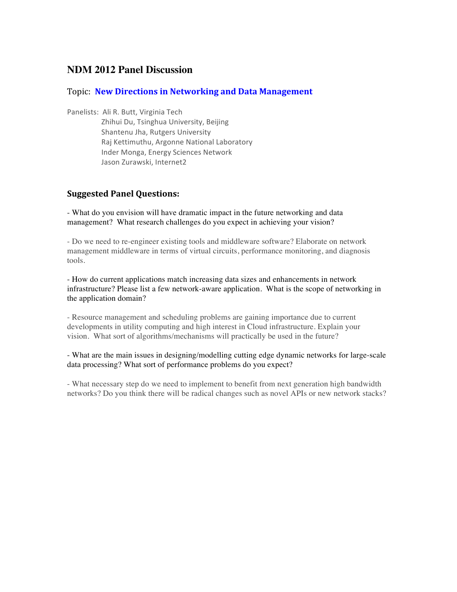# **NDM 2012 Panel Discussion**

## Topic: New Directions in Networking and Data Management

Panelists: Ali R. Butt, Virginia Tech

Zhihui Du, Tsinghua University, Beijing Shantenu Jha, Rutgers University Raj Kettimuthu, Argonne National Laboratory Inder Monga, Energy Sciences Network Jason Zurawski, Internet2

## **Suggested Panel Questions:**

- What do you envision will have dramatic impact in the future networking and data management? What research challenges do you expect in achieving your vision?

- Do we need to re-engineer existing tools and middleware software? Elaborate on network management middleware in terms of virtual circuits, performance monitoring, and diagnosis tools.

- How do current applications match increasing data sizes and enhancements in network infrastructure? Please list a few network-aware application. What is the scope of networking in the application domain?

- Resource management and scheduling problems are gaining importance due to current developments in utility computing and high interest in Cloud infrastructure. Explain your vision. What sort of algorithms/mechanisms will practically be used in the future?

- What are the main issues in designing/modelling cutting edge dynamic networks for large-scale data processing? What sort of performance problems do you expect?

- What necessary step do we need to implement to benefit from next generation high bandwidth networks? Do you think there will be radical changes such as novel APIs or new network stacks?